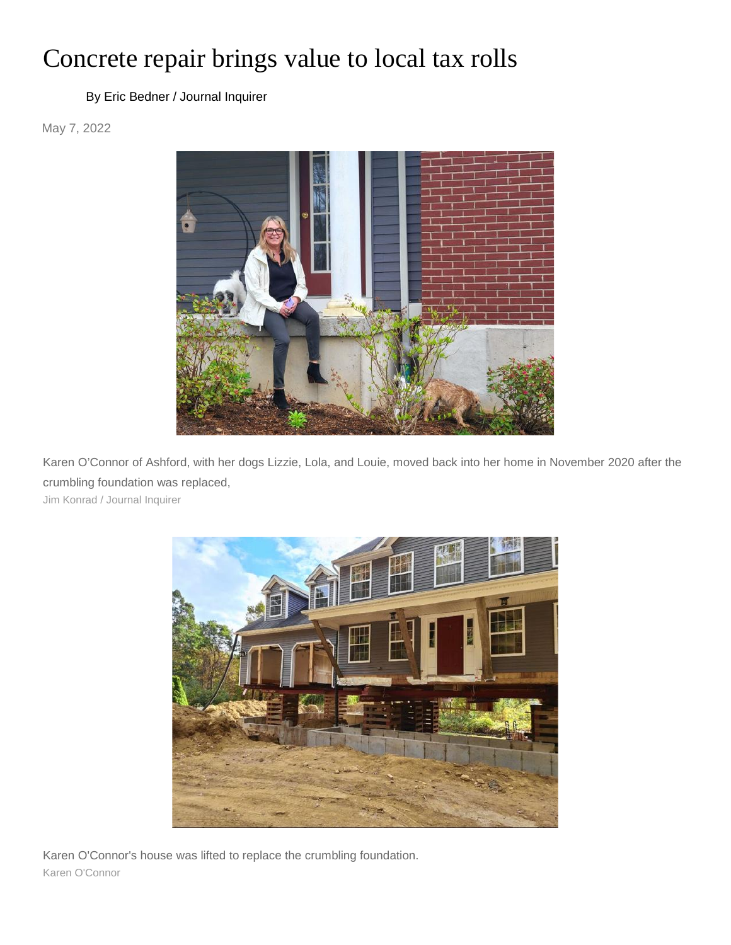## Concrete repair brings value to local tax rolls

## [By Eric Bedner / Journal Inquirer](https://www.journalinquirer.com/users/profile/Eric%20Bedner%20-%20JI)

May 7, 2022



Karen O'Connor of Ashford, with her dogs Lizzie, Lola, and Louie, moved back into her home in November 2020 after the crumbling foundation was replaced,

Jim Konrad / Journal Inquirer



Karen O'Connor's house was lifted to replace the crumbling foundation. Karen O'Connor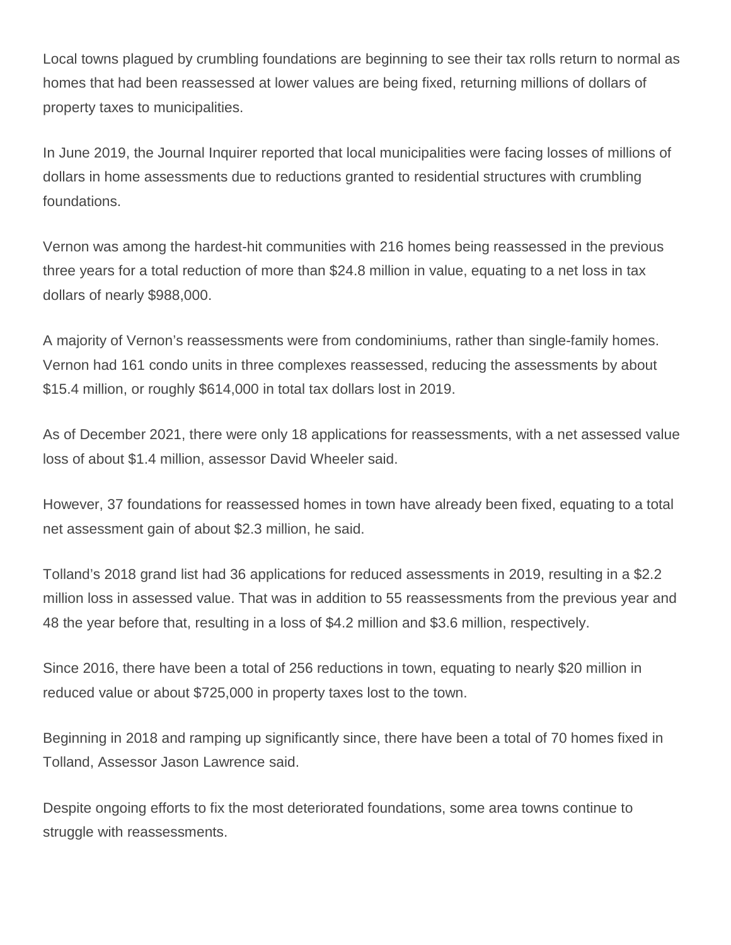Local towns plagued by crumbling foundations are beginning to see their tax rolls return to normal as homes that had been reassessed at lower values are being fixed, returning millions of dollars of property taxes to municipalities.

In June 2019, the Journal Inquirer reported that local municipalities were facing losses of millions of dollars in home assessments due to reductions granted to residential structures with crumbling foundations.

Vernon was among the hardest-hit communities with 216 homes being reassessed in the previous three years for a total reduction of more than \$24.8 million in value, equating to a net loss in tax dollars of nearly \$988,000.

A majority of Vernon's reassessments were from condominiums, rather than single-family homes. Vernon had 161 condo units in three complexes reassessed, reducing the assessments by about \$15.4 million, or roughly \$614,000 in total tax dollars lost in 2019.

As of December 2021, there were only 18 applications for reassessments, with a net assessed value loss of about \$1.4 million, assessor David Wheeler said.

However, 37 foundations for reassessed homes in town have already been fixed, equating to a total net assessment gain of about \$2.3 million, he said.

Tolland's 2018 grand list had 36 applications for reduced assessments in 2019, resulting in a \$2.2 million loss in assessed value. That was in addition to 55 reassessments from the previous year and 48 the year before that, resulting in a loss of \$4.2 million and \$3.6 million, respectively.

Since 2016, there have been a total of 256 reductions in town, equating to nearly \$20 million in reduced value or about \$725,000 in property taxes lost to the town.

Beginning in 2018 and ramping up significantly since, there have been a total of 70 homes fixed in Tolland, Assessor Jason Lawrence said.

Despite ongoing efforts to fix the most deteriorated foundations, some area towns continue to struggle with reassessments.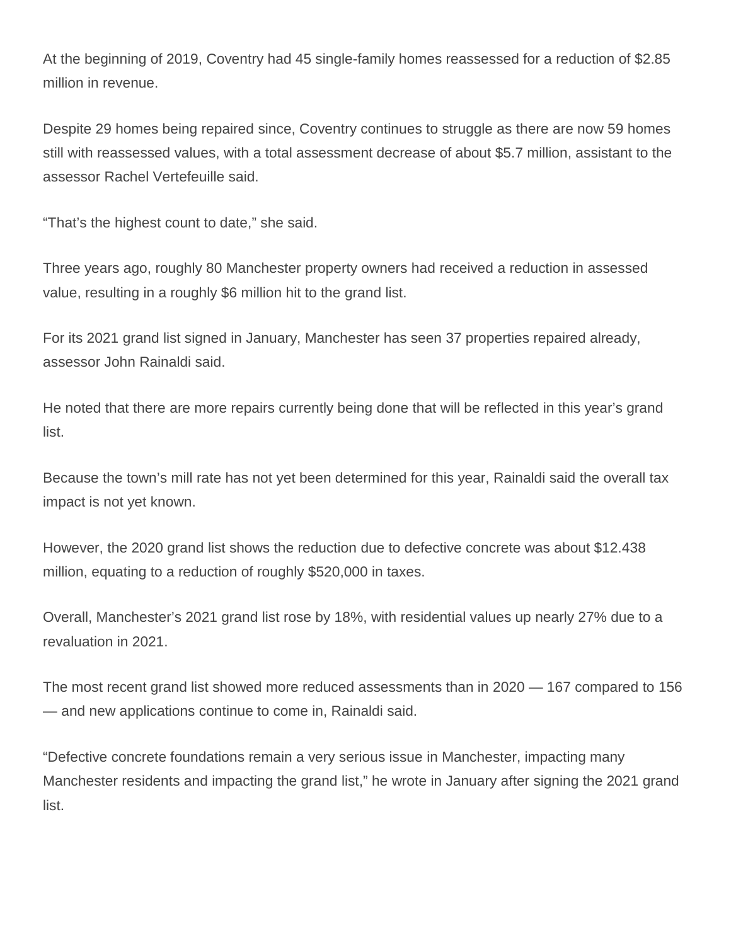At the beginning of 2019, Coventry had 45 single-family homes reassessed for a reduction of \$2.85 million in revenue.

Despite 29 homes being repaired since, Coventry continues to struggle as there are now 59 homes still with reassessed values, with a total assessment decrease of about \$5.7 million, assistant to the assessor Rachel Vertefeuille said.

"That's the highest count to date," she said.

Three years ago, roughly 80 Manchester property owners had received a reduction in assessed value, resulting in a roughly \$6 million hit to the grand list.

For its 2021 grand list signed in January, Manchester has seen 37 properties repaired already, assessor John Rainaldi said.

He noted that there are more repairs currently being done that will be reflected in this year's grand list.

Because the town's mill rate has not yet been determined for this year, Rainaldi said the overall tax impact is not yet known.

However, the 2020 grand list shows the reduction due to defective concrete was about \$12.438 million, equating to a reduction of roughly \$520,000 in taxes.

Overall, Manchester's 2021 grand list rose by 18%, with residential values up nearly 27% due to a revaluation in 2021.

The most recent grand list showed more reduced assessments than in 2020 — 167 compared to 156 — and new applications continue to come in, Rainaldi said.

"Defective concrete foundations remain a very serious issue in Manchester, impacting many Manchester residents and impacting the grand list," he wrote in January after signing the 2021 grand list.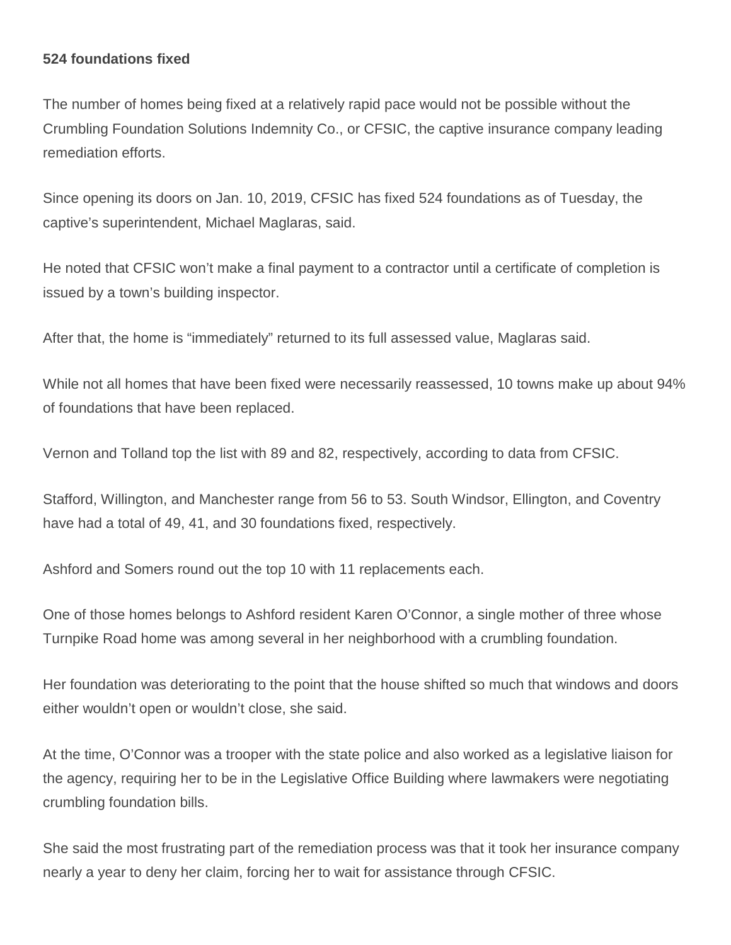## **524 foundations fixed**

The number of homes being fixed at a relatively rapid pace would not be possible without the Crumbling Foundation Solutions Indemnity Co., or CFSIC, the captive insurance company leading remediation efforts.

Since opening its doors on Jan. 10, 2019, CFSIC has fixed 524 foundations as of Tuesday, the captive's superintendent, Michael Maglaras, said.

He noted that CFSIC won't make a final payment to a contractor until a certificate of completion is issued by a town's building inspector.

After that, the home is "immediately" returned to its full assessed value, Maglaras said.

While not all homes that have been fixed were necessarily reassessed, 10 towns make up about 94% of foundations that have been replaced.

Vernon and Tolland top the list with 89 and 82, respectively, according to data from CFSIC.

Stafford, Willington, and Manchester range from 56 to 53. South Windsor, Ellington, and Coventry have had a total of 49, 41, and 30 foundations fixed, respectively.

Ashford and Somers round out the top 10 with 11 replacements each.

One of those homes belongs to Ashford resident Karen O'Connor, a single mother of three whose Turnpike Road home was among several in her neighborhood with a crumbling foundation.

Her foundation was deteriorating to the point that the house shifted so much that windows and doors either wouldn't open or wouldn't close, she said.

At the time, O'Connor was a trooper with the state police and also worked as a legislative liaison for the agency, requiring her to be in the Legislative Office Building where lawmakers were negotiating crumbling foundation bills.

She said the most frustrating part of the remediation process was that it took her insurance company nearly a year to deny her claim, forcing her to wait for assistance through CFSIC.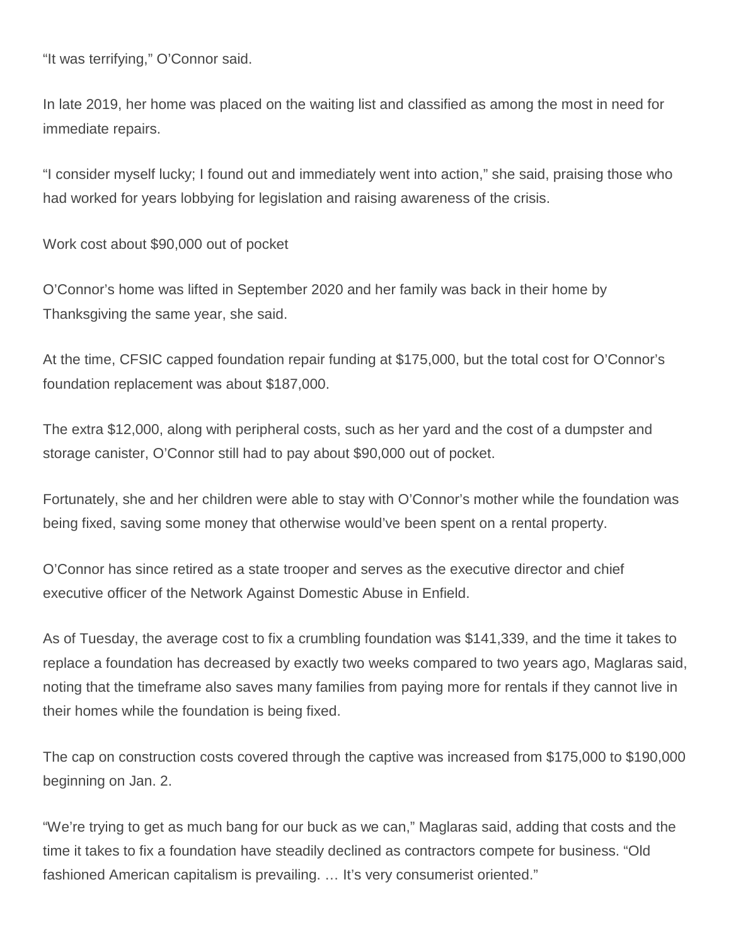"It was terrifying," O'Connor said.

In late 2019, her home was placed on the waiting list and classified as among the most in need for immediate repairs.

"I consider myself lucky; I found out and immediately went into action," she said, praising those who had worked for years lobbying for legislation and raising awareness of the crisis.

Work cost about \$90,000 out of pocket

O'Connor's home was lifted in September 2020 and her family was back in their home by Thanksgiving the same year, she said.

At the time, CFSIC capped foundation repair funding at \$175,000, but the total cost for O'Connor's foundation replacement was about \$187,000.

The extra \$12,000, along with peripheral costs, such as her yard and the cost of a dumpster and storage canister, O'Connor still had to pay about \$90,000 out of pocket.

Fortunately, she and her children were able to stay with O'Connor's mother while the foundation was being fixed, saving some money that otherwise would've been spent on a rental property.

O'Connor has since retired as a state trooper and serves as the executive director and chief executive officer of the Network Against Domestic Abuse in Enfield.

As of Tuesday, the average cost to fix a crumbling foundation was \$141,339, and the time it takes to replace a foundation has decreased by exactly two weeks compared to two years ago, Maglaras said, noting that the timeframe also saves many families from paying more for rentals if they cannot live in their homes while the foundation is being fixed.

The cap on construction costs covered through the captive was increased from \$175,000 to \$190,000 beginning on Jan. 2.

"We're trying to get as much bang for our buck as we can," Maglaras said, adding that costs and the time it takes to fix a foundation have steadily declined as contractors compete for business. "Old fashioned American capitalism is prevailing. … It's very consumerist oriented."